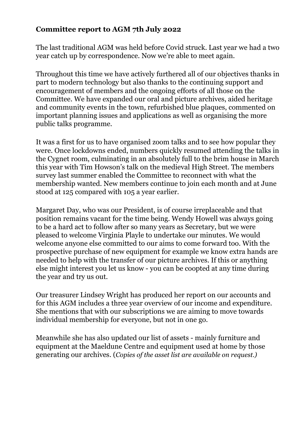## **Committee report to AGM 7th July 2022**

The last traditional AGM was held before Covid struck. Last year we had a two year catch up by correspondence. Now we're able to meet again.

Throughout this time we have actively furthered all of our objectives thanks in part to modern technology but also thanks to the continuing support and encouragement of members and the ongoing efforts of all those on the Committee. We have expanded our oral and picture archives, aided heritage and community events in the town, refurbished blue plaques, commented on important planning issues and applications as well as organising the more public talks programme.

It was a first for us to have organised zoom talks and to see how popular they were. Once lockdowns ended, numbers quickly resumed attending the talks in the Cygnet room, culminating in an absolutely full to the brim house in March this year with Tim Howson's talk on the medieval High Street. The members survey last summer enabled the Committee to reconnect with what the membership wanted. New members continue to join each month and at June stood at 125 compared with 105 a year earlier.

Margaret Day, who was our President, is of course irreplaceable and that position remains vacant for the time being. Wendy Howell was always going to be a hard act to follow after so many years as Secretary, but we were pleased to welcome Virginia Playle to undertake our minutes. We would welcome anyone else committed to our aims to come forward too. With the prospective purchase of new equipment for example we know extra hands are needed to help with the transfer of our picture archives. If this or anything else might interest you let us know - you can be coopted at any time during the year and try us out.

Our treasurer Lindsey Wright has produced her report on our accounts and for this AGM includes a three year overview of our income and expenditure. She mentions that with our subscriptions we are aiming to move towards individual membership for everyone, but not in one go.

Meanwhile she has also updated our list of assets - mainly furniture and equipment at the Maeldune Centre and equipment used at home by those generating our archives. (*Copies of the asset list are available on request.)*